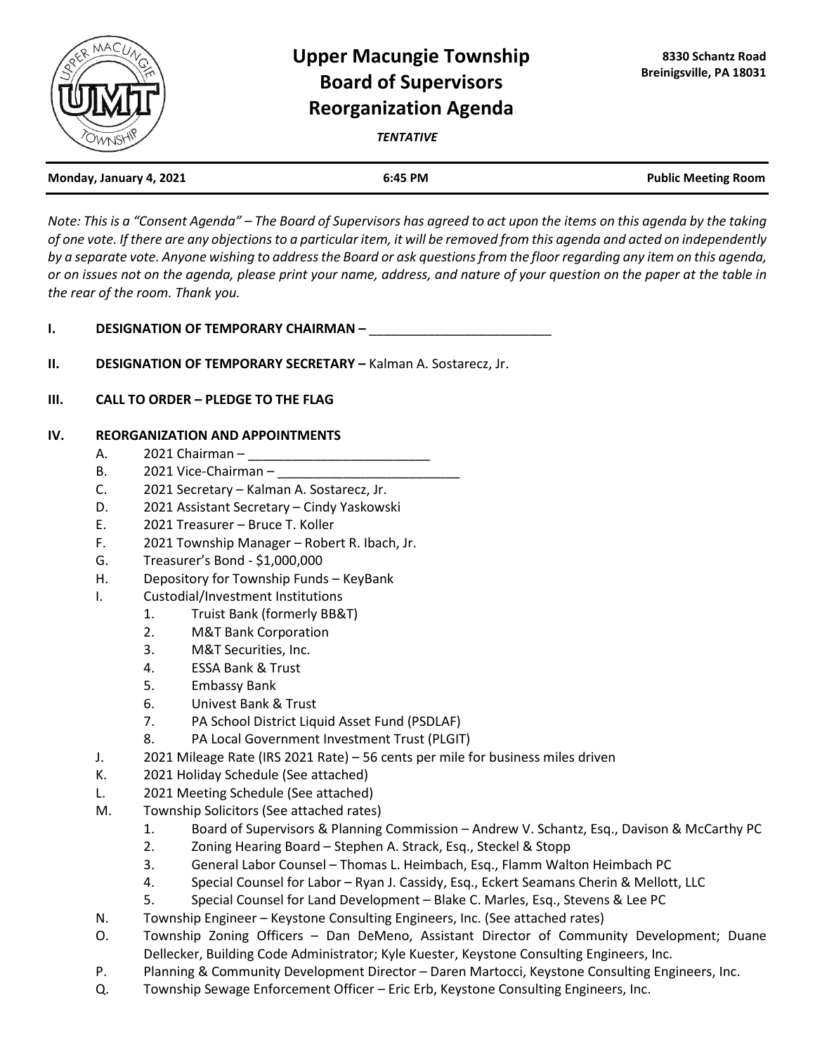

## **Upper Macungie Township Board of Supervisors Reorganization Agenda**

*TENTATIVE*

| Monday, January 4, 2021 | 6:45 PM | <b>Public Meeting Room</b> |
|-------------------------|---------|----------------------------|
|                         |         |                            |

*Note: This is a "Consent Agenda" – The Board of Supervisors has agreed to act upon the items on this agenda by the taking of one vote. If there are any objections to a particular item, it will be removed from this agenda and acted on independently by a separate vote. Anyone wishing to address the Board or ask questions from the floor regarding any item on this agenda, or on issues not on the agenda, please print your name, address, and nature of your question on the paper at the table in the rear of the room. Thank you.*

- **I. DESIGNATION OF TEMPORARY CHAIRMAN**
- **II. DESIGNATION OF TEMPORARY SECRETARY –** Kalman A. Sostarecz, Jr.
- **III. CALL TO ORDER – PLEDGE TO THE FLAG**

## **IV. REORGANIZATION AND APPOINTMENTS**

- A. 2021 Chairman –
- B. 2021 Vice-Chairman –
- C. 2021 Secretary Kalman A. Sostarecz, Jr.
- D. 2021 Assistant Secretary Cindy Yaskowski
- E. 2021 Treasurer Bruce T. Koller
- F. 2021 Township Manager Robert R. Ibach, Jr.
- G. Treasurer's Bond \$1,000,000
- H. Depository for Township Funds KeyBank
- I. Custodial/Investment Institutions
	- 1. Truist Bank (formerly BB&T)
	- 2. M&T Bank Corporation
	- 3. M&T Securities, Inc.
	- 4. ESSA Bank & Trust
	- 5. Embassy Bank
	- 6. Univest Bank & Trust
	- 7. PA School District Liquid Asset Fund (PSDLAF)
	- 8. PA Local Government Investment Trust (PLGIT)
- J. 2021 Mileage Rate (IRS 2021 Rate) 56 cents per mile for business miles driven
- K. 2021 Holiday Schedule (See attached)
- L. 2021 Meeting Schedule (See attached)
- M. Township Solicitors (See attached rates)
	- 1. Board of Supervisors & Planning Commission Andrew V. Schantz, Esq., Davison & McCarthy PC
	- 2. Zoning Hearing Board Stephen A. Strack, Esq., Steckel & Stopp
	- 3. General Labor Counsel Thomas L. Heimbach, Esq., Flamm Walton Heimbach PC
	- 4. Special Counsel for Labor Ryan J. Cassidy, Esq., Eckert Seamans Cherin & Mellott, LLC
	- 5. Special Counsel for Land Development Blake C. Marles, Esq., Stevens & Lee PC
- N. Township Engineer Keystone Consulting Engineers, Inc. (See attached rates)
- O. Township Zoning Officers Dan DeMeno, Assistant Director of Community Development; Duane Dellecker, Building Code Administrator; Kyle Kuester, Keystone Consulting Engineers, Inc.
- P. Planning & Community Development Director Daren Martocci, Keystone Consulting Engineers, Inc.
- Q. Township Sewage Enforcement Officer Eric Erb, Keystone Consulting Engineers, Inc.